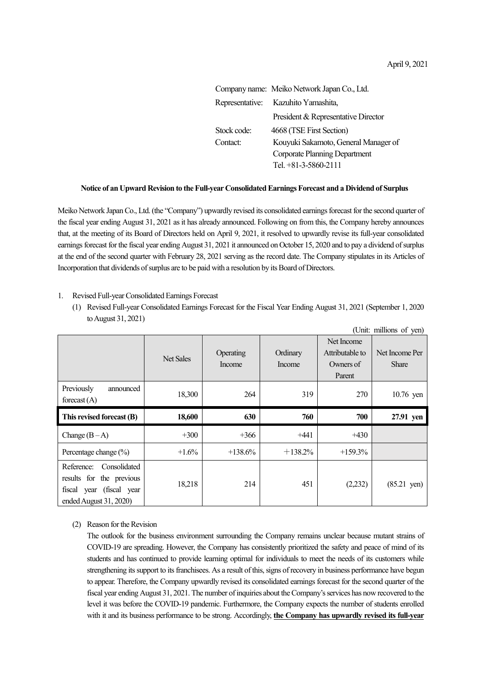|             | Company name: Meiko Network Japan Co., Ltd. |
|-------------|---------------------------------------------|
|             | Representative: Kazuhito Yamashita,         |
|             | President & Representative Director         |
| Stock code: | 4668 (TSE First Section)                    |
| Contact:    | Kouyuki Sakamoto, General Manager of        |
|             | <b>Corporate Planning Department</b>        |
|             | Tel. +81-3-5860-2111                        |

#### **Notice of an Upward Revision to the Full-year Consolidated Earnings Forecast and a Dividend of Surplus**

Meiko Network Japan Co., Ltd. (the "Company") upwardly revised its consolidated earnings forecast for the second quarter of the fiscal year ending August 31, 2021 as it has already announced. Following on from this, the Company hereby announces that, at the meeting of its Board of Directors held on April 9, 2021, it resolved to upwardly revise its full-year consolidated earnings forecast for the fiscal year ending August 31, 2021 it announced on October 15, 2020 and to pay a dividend of surplus at the end of the second quarter with February 28, 2021 serving as the record date. The Company stipulates in its Articles of Incorporation that dividends of surplus are to be paid with a resolution by its Board of Directors.

- 1. Revised Full-year Consolidated Earnings Forecast
	- (1) Revised Full-year Consolidated Earnings Forecast for the Fiscal Year Ending August 31, 2021 (September 1, 2020 to August 31, 2021)

|                                           | (Unit: millions of yen) |                     |                    |                                                      |                                |  |  |
|-------------------------------------------|-------------------------|---------------------|--------------------|------------------------------------------------------|--------------------------------|--|--|
|                                           | <b>Net Sales</b>        | Operating<br>Income | Ordinary<br>Income | Net Income<br>Attributable to<br>Owners of<br>Parent | Net Income Per<br><b>Share</b> |  |  |
| Previously<br>announced<br>forecast $(A)$ | 18,300                  | 264                 | 319                | 270                                                  | 10.76 yen                      |  |  |
|                                           |                         |                     |                    |                                                      |                                |  |  |
| This revised forecast (B)                 | 18,600                  | 630                 | 760                | 700                                                  | 27.91 yen                      |  |  |
| Change $(B-A)$                            | $+300$                  | $+366$              | $+441$             | $+430$                                               |                                |  |  |
| Percentage change (%)                     | $+1.6\%$                | $+138.6%$           | $+138.2%$          | $+159.3%$                                            |                                |  |  |

(2) Reason for the Revision

The outlook for the business environment surrounding the Company remains unclear because mutant strains of COVID-19 are spreading. However, the Company has consistently prioritized the safety and peace of mind of its students and has continued to provide learning optimal for individuals to meet the needs of its customers while strengthening its support to its franchisees. As a result of this, signs of recovery in business performance have begun to appear. Therefore, the Company upwardly revised its consolidated earnings forecast for the second quarter of the fiscal year ending August 31, 2021. The number of inquiries about the Company's services has now recovered to the level it was before the COVID-19 pandemic. Furthermore, the Company expects the number of students enrolled with it and its business performance to be strong. Accordingly, **the Company has upwardly revised its full-year**